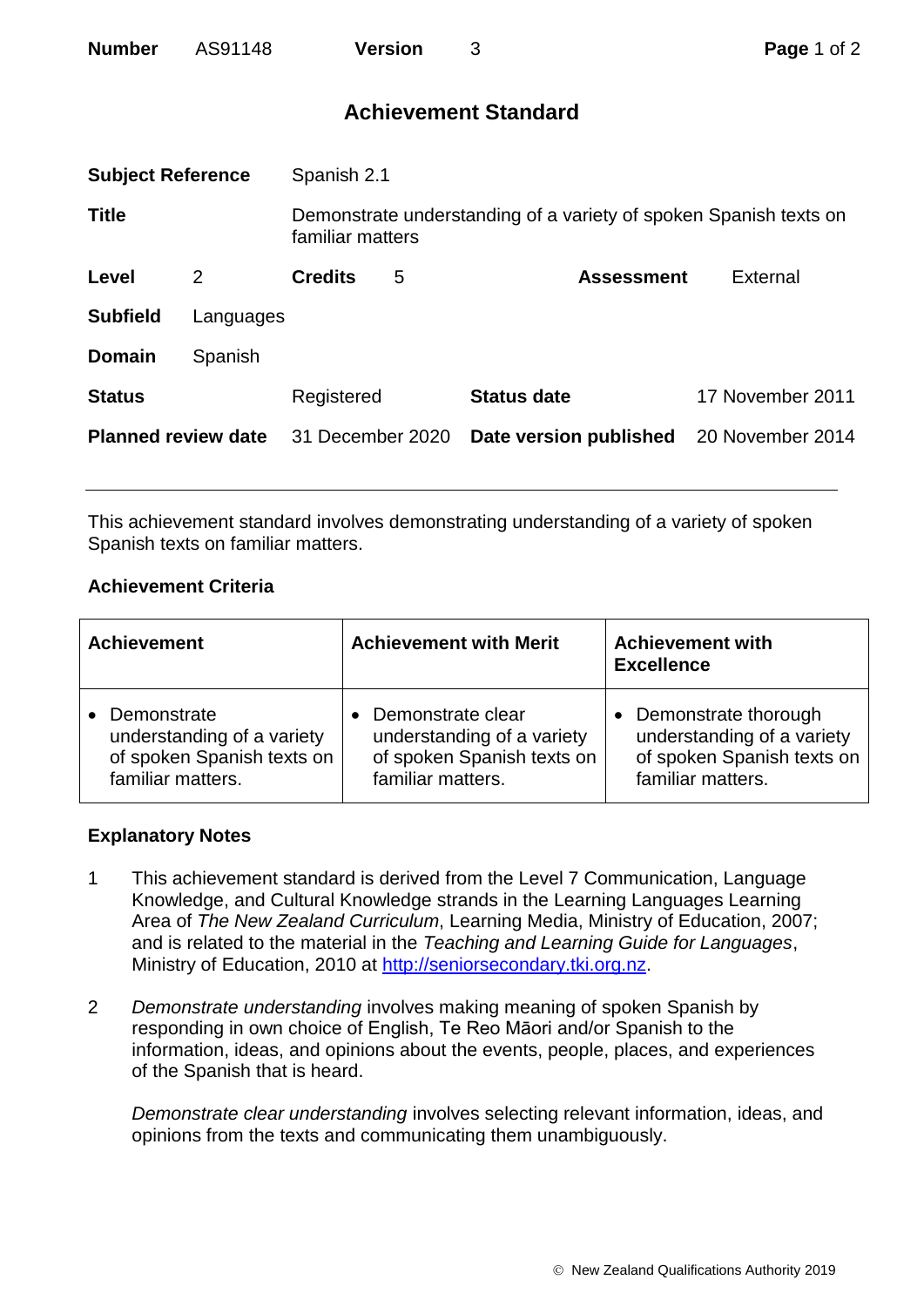| <b>Number</b> | AS91148 | <b>Version</b> |
|---------------|---------|----------------|
|               |         |                |

# **Achievement Standard**

| <b>Subject Reference</b>   |           | Spanish 2.1                                                                           |   |                        |                  |
|----------------------------|-----------|---------------------------------------------------------------------------------------|---|------------------------|------------------|
| <b>Title</b>               |           | Demonstrate understanding of a variety of spoken Spanish texts on<br>familiar matters |   |                        |                  |
| Level                      | 2         | <b>Credits</b>                                                                        | 5 | <b>Assessment</b>      | External         |
| <b>Subfield</b>            | Languages |                                                                                       |   |                        |                  |
| <b>Domain</b>              | Spanish   |                                                                                       |   |                        |                  |
| <b>Status</b>              |           | Registered                                                                            |   | <b>Status date</b>     | 17 November 2011 |
| <b>Planned review date</b> |           | 31 December 2020                                                                      |   | Date version published | 20 November 2014 |
|                            |           |                                                                                       |   |                        |                  |

This achievement standard involves demonstrating understanding of a variety of spoken Spanish texts on familiar matters.

## **Achievement Criteria**

| <b>Achievement</b>         | <b>Achievement with Merit</b> | <b>Achievement with</b><br><b>Excellence</b> |
|----------------------------|-------------------------------|----------------------------------------------|
| Demonstrate                | Demonstrate clear             | Demonstrate thorough                         |
| understanding of a variety | understanding of a variety    | understanding of a variety                   |
| of spoken Spanish texts on | of spoken Spanish texts on    | of spoken Spanish texts on                   |
| familiar matters.          | familiar matters.             | familiar matters.                            |

#### **Explanatory Notes**

- 1 This achievement standard is derived from the Level 7 Communication, Language Knowledge, and Cultural Knowledge strands in the Learning Languages Learning Area of *The New Zealand Curriculum*, Learning Media, Ministry of Education, 2007; and is related to the material in the *Teaching and Learning Guide for Languages*, Ministry of Education, 2010 at [http://seniorsecondary.tki.org.nz.](http://seniorsecondary.tki.org.nz/)
- 2 *Demonstrate understanding* involves making meaning of spoken Spanish by responding in own choice of English, Te Reo Māori and/or Spanish to the information, ideas, and opinions about the events, people, places, and experiences of the Spanish that is heard.

*Demonstrate clear understanding* involves selecting relevant information, ideas, and opinions from the texts and communicating them unambiguously.